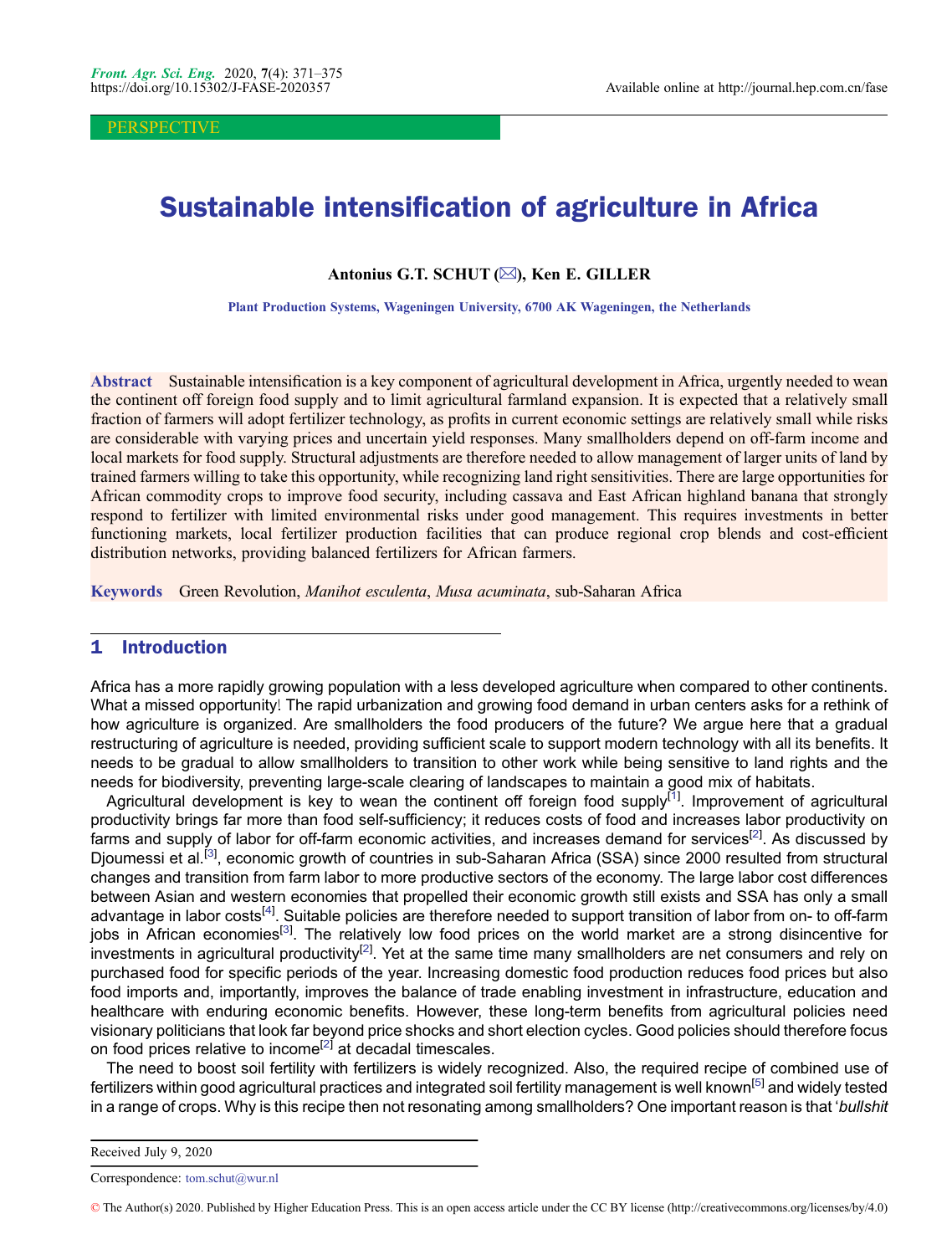**PERSPECTIVE** 

# Sustainable intensification of agriculture in Africa

Antonius G.T. SCHUT  $(\boxtimes)$ , Ken E. GILLER

Plant Production Systems, Wageningen University, 6700 AK Wageningen, the Netherlands

Abstract Sustainable intensification is a key component of agricultural development in Africa, urgently needed to wean the continent off foreign food supply and to limit agricultural farmland expansion. It is expected that a relatively small fraction of farmers will adopt fertilizer technology, as profits in current economic settings are relatively small while risks are considerable with varying prices and uncertain yield responses. Many smallholders depend on off-farm income and local markets for food supply. Structural adjustments are therefore needed to allow management of larger units of land by trained farmers willing to take this opportunity, while recognizing land right sensitivities. There are large opportunities for African commodity crops to improve food security, including cassava and East African highland banana that strongly respond to fertilizer with limited environmental risks under good management. This requires investments in better functioning markets, local fertilizer production facilities that can produce regional crop blends and cost-efficient distribution networks, providing balanced fertilizers for African farmers.

Keywords Green Revolution, Manihot esculenta, Musa acuminata, sub-Saharan Africa

#### 1 Introduction

Africa has a more rapidly growing population with a less developed agriculture when compared to other continents. What a missed opportunity! The rapid urbanization and growing food demand in urban centers asks for a rethink of how agriculture is organized. Are smallholders the food producers of the future? We argue here that a gradual restructuring of agriculture is needed, providing sufficient scale to support modern technology with all its benefits. It needs to be gradual to allow smallholders to transition to other work while being sensitive to land rights and the needs for biodiversity, preventing large-scale clearing of landscapes to maintain a good mix of habitats.

Agricultural development is key to wean the continent off foreign food supply<sup>[[1\]](#page-3-0)</sup>. Improvement of agricultural productivity brings far more than food self-sufficiency; it reduces costs of food and increases labor productivity on farms and supply of labor for off-farm economic activities, and increases demand for services<sup>[[2\]](#page-3-0)</sup>. As discussed by Djoumessi et al.<sup>[[3\]](#page-3-0)</sup>, economic growth of countries in sub-Saharan Africa (SSA) since 2000 resulted from structural changes and transition from farm labor to more productive sectors of the economy. The large labor cost differences between Asian and western economies that propelled their economic growth still exists and SSA has only a small advantage in labor costs<sup>[[4](#page-3-0)]</sup>. Suitable policies are therefore needed to support transition of labor from on- to off-farm jobs in African economies<sup>[\[3](#page-3-0)]</sup>. The relatively low food prices on the world market are a strong disincentive for investments in agricultural productivity<sup>[\[2](#page-3-0)]</sup>. Yet at the same time many smallholders are net consumers and rely on purchased food for specific periods of the year. Increasing domestic food production reduces food prices but also food imports and, importantly, improves the balance of trade enabling investment in infrastructure, education and healthcare with enduring economic benefits. However, these long-term benefits from agricultural policies need visionary politicians that look far beyond price shocks and short election cycles. Good policies should therefore focus on food prices relative to income<sup>[\[2](#page-3-0)]</sup> at decadal timescales.

The need to boost soil fertility with fertilizers is widely recognized. Also, the required recipe of combined use of fertilizers within good agricultural practices and integrated soil fertility management is well known<sup>[\[5](#page-3-0)]</sup> and widely tested in a range of crops. Why is this recipe then not resonating among smallholders? One important reason is that 'bullshit

Received July 9, 2020

Correspondence: tom.schut@wur.nl

<sup>©</sup> The Author(s) 2020. Published by Higher Education Press. This is an open access article under the CC BY license (http://creativecommons.org/licenses/by/4.0)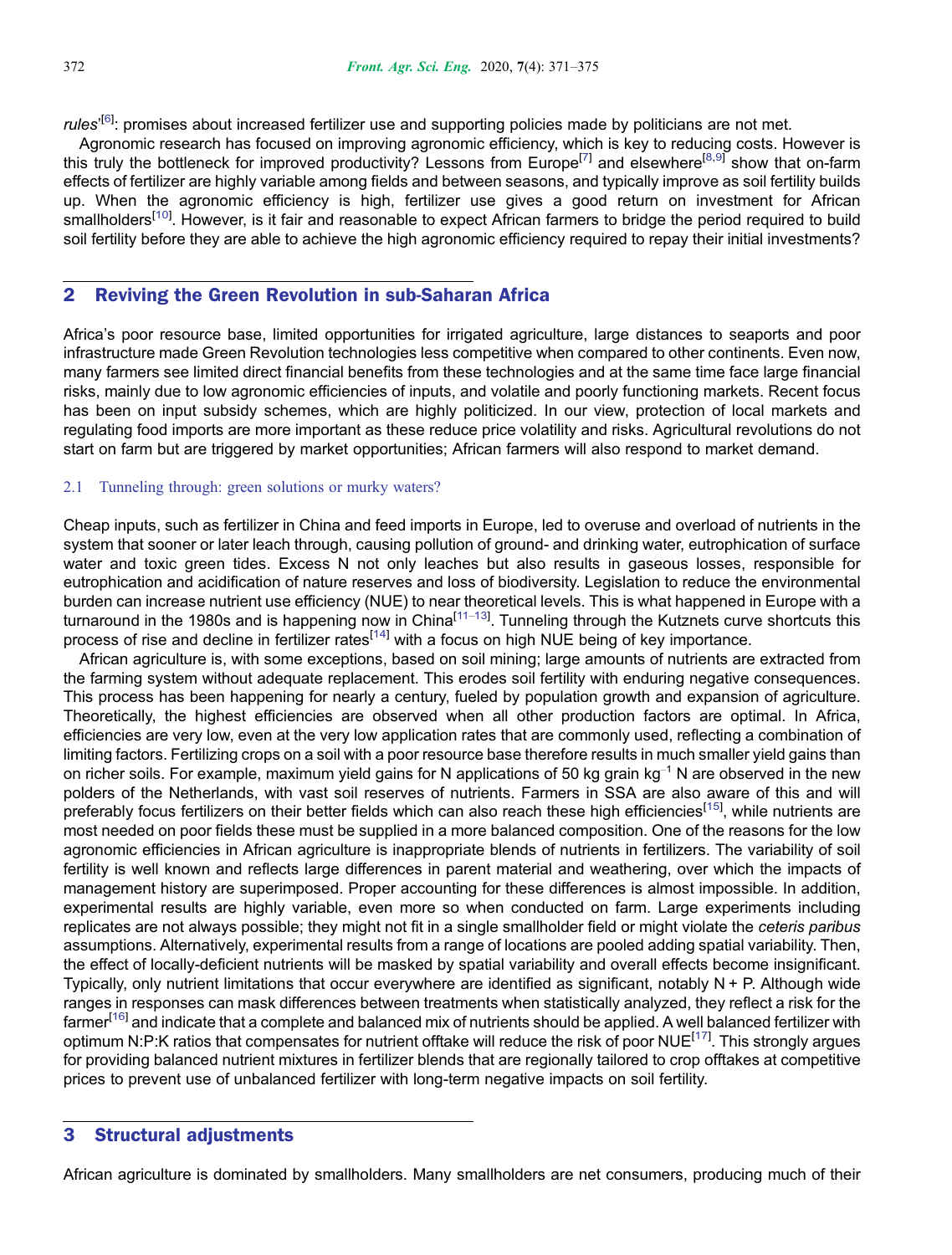*rules'*<sup>[\[6](#page-3-0)]</sup>: promises about increased fertilizer use and supporting policies made by politicians are not met.

Agronomic research has focused on improving agronomic efficiency, which is key to reducing costs. However is this truly the bottleneck for improved productivity? Lessons from Europe<sup>[\[7](#page-3-0)]</sup> and elsewhere<sup>[[8,9\]](#page-3-0)</sup> show that on-farm effects of fertilizer are highly variable among fields and between seasons, and typically improve as soil fertility builds up. When the agronomic efficiency is high, fertilizer use gives a good return on investment for African smallholders<sup>[\[10\]](#page-3-0)</sup>. However, is it fair and reasonable to expect African farmers to bridge the period required to build soil fertility before they are able to achieve the high agronomic efficiency required to repay their initial investments?

# 2 Reviving the Green Revolution in sub-Saharan Africa

Africa's poor resource base, limited opportunities for irrigated agriculture, large distances to seaports and poor infrastructure made Green Revolution technologies less competitive when compared to other continents. Even now, many farmers see limited direct financial benefits from these technologies and at the same time face large financial risks, mainly due to low agronomic efficiencies of inputs, and volatile and poorly functioning markets. Recent focus has been on input subsidy schemes, which are highly politicized. In our view, protection of local markets and regulating food imports are more important as these reduce price volatility and risks. Agricultural revolutions do not start on farm but are triggered by market opportunities; African farmers will also respond to market demand.

#### 2.1 Tunneling through: green solutions or murky waters?

Cheap inputs, such as fertilizer in China and feed imports in Europe, led to overuse and overload of nutrients in the system that sooner or later leach through, causing pollution of ground- and drinking water, eutrophication of surface water and toxic green tides. Excess N not only leaches but also results in gaseous losses, responsible for eutrophication and acidification of nature reserves and loss of biodiversity. Legislation to reduce the environmental burden can increase nutrient use efficiency (NUE) to near theoretical levels. This is what happened in Europe with a turnaround in the 1980s and is happening now in China<sup>[[11](#page-3-0)–[13\]](#page-3-0)</sup>. Tunneling through the Kutznets curve shortcuts this process of rise and decline in fertilizer rates<sup>[\[14\]](#page-3-0)</sup> with a focus on high NUE being of key importance.

African agriculture is, with some exceptions, based on soil mining; large amounts of nutrients are extracted from the farming system without adequate replacement. This erodes soil fertility with enduring negative consequences. This process has been happening for nearly a century, fueled by population growth and expansion of agriculture. Theoretically, the highest efficiencies are observed when all other production factors are optimal. In Africa, efficiencies are very low, even at the very low application rates that are commonly used, reflecting a combination of limiting factors. Fertilizing crops on a soil with a poor resource base therefore results in much smaller yield gains than on richer soils. For example, maximum yield gains for N applications of 50 kg grain  $kg^{-1}$  N are observed in the new polders of the Netherlands, with vast soil reserves of nutrients. Farmers in SSA are also aware of this and will preferably focus fertilizers on their better fields which can also reach these high efficiencies<sup>[\[15](#page-3-0)]</sup>, while nutrients are most needed on poor fields these must be supplied in a more balanced composition. One of the reasons for the low agronomic efficiencies in African agriculture is inappropriate blends of nutrients in fertilizers. The variability of soil fertility is well known and reflects large differences in parent material and weathering, over which the impacts of management history are superimposed. Proper accounting for these differences is almost impossible. In addition, experimental results are highly variable, even more so when conducted on farm. Large experiments including replicates are not always possible; they might not fit in a single smallholder field or might violate the ceteris paribus assumptions. Alternatively, experimental results from a range of locations are pooled adding spatial variability. Then, the effect of locally-deficient nutrients will be masked by spatial variability and overall effects become insignificant. Typically, only nutrient limitations that occur everywhere are identified as significant, notably N + P. Although wide ranges in responses can mask differences between treatments when statistically analyzed, they reflect a risk for the farmer<sup>[\[16](#page-3-0)]</sup> and indicate that a complete and balanced mix of nutrients should be applied. A well balanced fertilizer with optimum N:P:K ratios that compensates for nutrient offtake will reduce the risk of poor NUE<sup>[[17\]](#page-3-0)</sup>. This strongly argues for providing balanced nutrient mixtures in fertilizer blends that are regionally tailored to crop offtakes at competitive prices to prevent use of unbalanced fertilizer with long-term negative impacts on soil fertility.

# 3 Structural adjustments

African agriculture is dominated by smallholders. Many smallholders are net consumers, producing much of their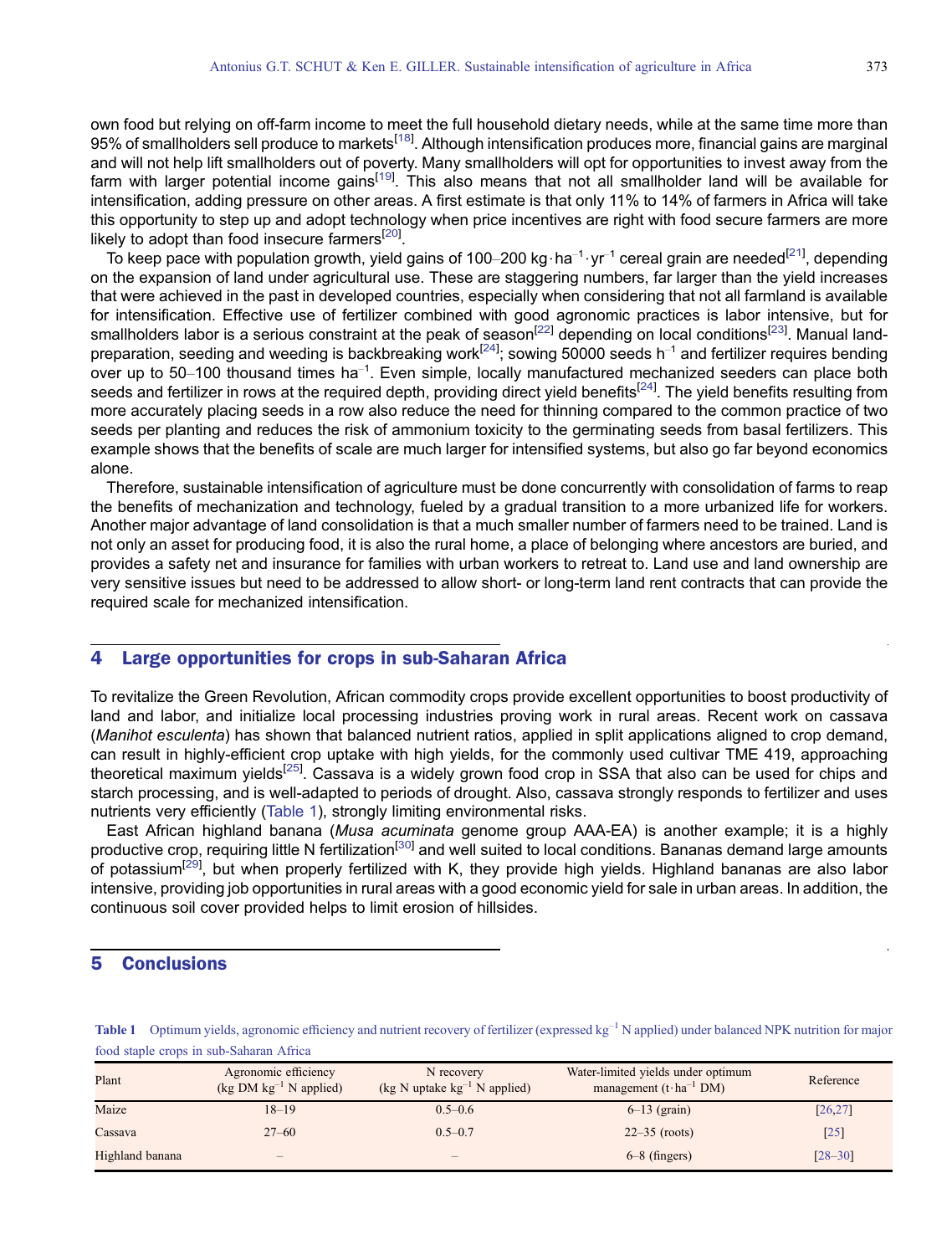own food but relying on off-farm income to meet the full household dietary needs, while at the same time more than 95% of smallholders sell produce to markets<sup>[[18](#page-3-0)]</sup>. Although intensification produces more, financial gains are marginal and will not help lift smallholders out of poverty. Many smallholders will opt for opportunities to invest away from the farm with larger potential income gains<sup>[[19](#page-3-0)]</sup>. This also means that not all smallholder land will be available for intensification, adding pressure on other areas. A first estimate is that only 11% to 14% of farmers in Africa will take this opportunity to step up and adopt technology when price incentives are right with food secure farmers are more likely to adopt than food insecure farmers $^{[20]}$  $^{[20]}$  $^{[20]}$ .

To keep pace with population growth, yield gains of 100–200 kg $\cdot$ ha $^{-1}\cdot$ yr $^{-1}$  cereal grain are needed $^{[21]}$  $^{[21]}$  $^{[21]}$ , depending on the expansion of land under agricultural use. These are staggering numbers, far larger than the yield increases that were achieved in the past in developed countries, especially when considering that not all farmland is available for intensification. Effective use of fertilizer combined with good agronomic practices is labor intensive, but for smallholders labor is a serious constraint at the peak of season<sup>[\[22\]](#page-4-0)</sup> depending on local conditions<sup>[\[23\]](#page-4-0)</sup>. Manual land-preparation, seeding and weeding is backbreaking work<sup>[\[24\]](#page-4-0)</sup>; sowing 50000 seeds h<sup>–1</sup> and fertilizer requires bending over up to 50–100 thousand times ha<sup>-1</sup>. Even simple, locally manufactured mechanized seeders can place both seeds and fertilizer in rows at the required depth, providing direct yield benefits<sup>[[24\]](#page-4-0)</sup>. The yield benefits resulting from more accurately placing seeds in a row also reduce the need for thinning compared to the common practice of two seeds per planting and reduces the risk of ammonium toxicity to the germinating seeds from basal fertilizers. This example shows that the benefits of scale are much larger for intensified systems, but also go far beyond economics alone.

Therefore, sustainable intensification of agriculture must be done concurrently with consolidation of farms to reap the benefits of mechanization and technology, fueled by a gradual transition to a more urbanized life for workers. Another major advantage of land consolidation is that a much smaller number of farmers need to be trained. Land is not only an asset for producing food, it is also the rural home, a place of belonging where ancestors are buried, and provides a safety net and insurance for families with urban workers to retreat to. Land use and land ownership are very sensitive issues but need to be addressed to allow short- or long-term land rent contracts that can provide the required scale for mechanized intensification.

### 4 Large opportunities for crops in sub-Saharan Africa

To revitalize the Green Revolution, African commodity crops provide excellent opportunities to boost productivity of land and labor, and initialize local processing industries proving work in rural areas. Recent work on cassava (Manihot esculenta) has shown that balanced nutrient ratios, applied in split applications aligned to crop demand, can result in highly-efficient crop uptake with high yields, for the commonly used cultivar TME 419, approaching theoretical maximum yields<sup>[\[25](#page-4-0)]</sup>. Cassava is a widely grown food crop in SSA that also can be used for chips and starch processing, and is well-adapted to periods of drought. Also, cassava strongly responds to fertilizer and uses nutrients very efficiently (Table 1), strongly limiting environmental risks.

East African highland banana (Musa acuminata genome group AAA-EA) is another example; it is a highly productive crop, requiring little N fertilization<sup>[\[30](#page-4-0)]</sup> and well suited to local conditions. Bananas demand large amounts of potassium<sup>[\[29](#page-4-0)]</sup>, but when properly fertilized with K, they provide high yields. Highland bananas are also labor intensive, providing job opportunities in rural areas with a good economic yield for sale in urban areas. In addition, the continuous soil cover provided helps to limit erosion of hillsides.

## 5 Conclusions

**Table 1** Optimum yields, agronomic efficiency and nutrient recovery of fertilizer (expressed  $kg^{-1}$  N applied) under balanced NPK nutrition for major food staple crops in sub-Saharan Africa

| Plant           | Agronomic efficiency<br>$(\text{kg DM kg}^{-1} \text{ N applied})$ | N recovery<br>(kg N uptake $kg^{-1}$ N applied) | Water-limited yields under optimum<br>management $(t \cdot ha^{-1} DM)$ | Reference   |
|-----------------|--------------------------------------------------------------------|-------------------------------------------------|-------------------------------------------------------------------------|-------------|
| Maize           | $18 - 19$                                                          | $0.5 - 0.6$                                     | $6-13$ (grain)                                                          | [26, 27]    |
| Cassava         | $27 - 60$                                                          | $0.5 - 0.7$                                     | $22 - 35$ (roots)                                                       | $[25]$      |
| Highland banana | $\overline{\phantom{0}}$                                           | $\hspace{0.1mm}-\hspace{0.1mm}$                 | $6-8$ (fingers)                                                         | $[28 - 30]$ |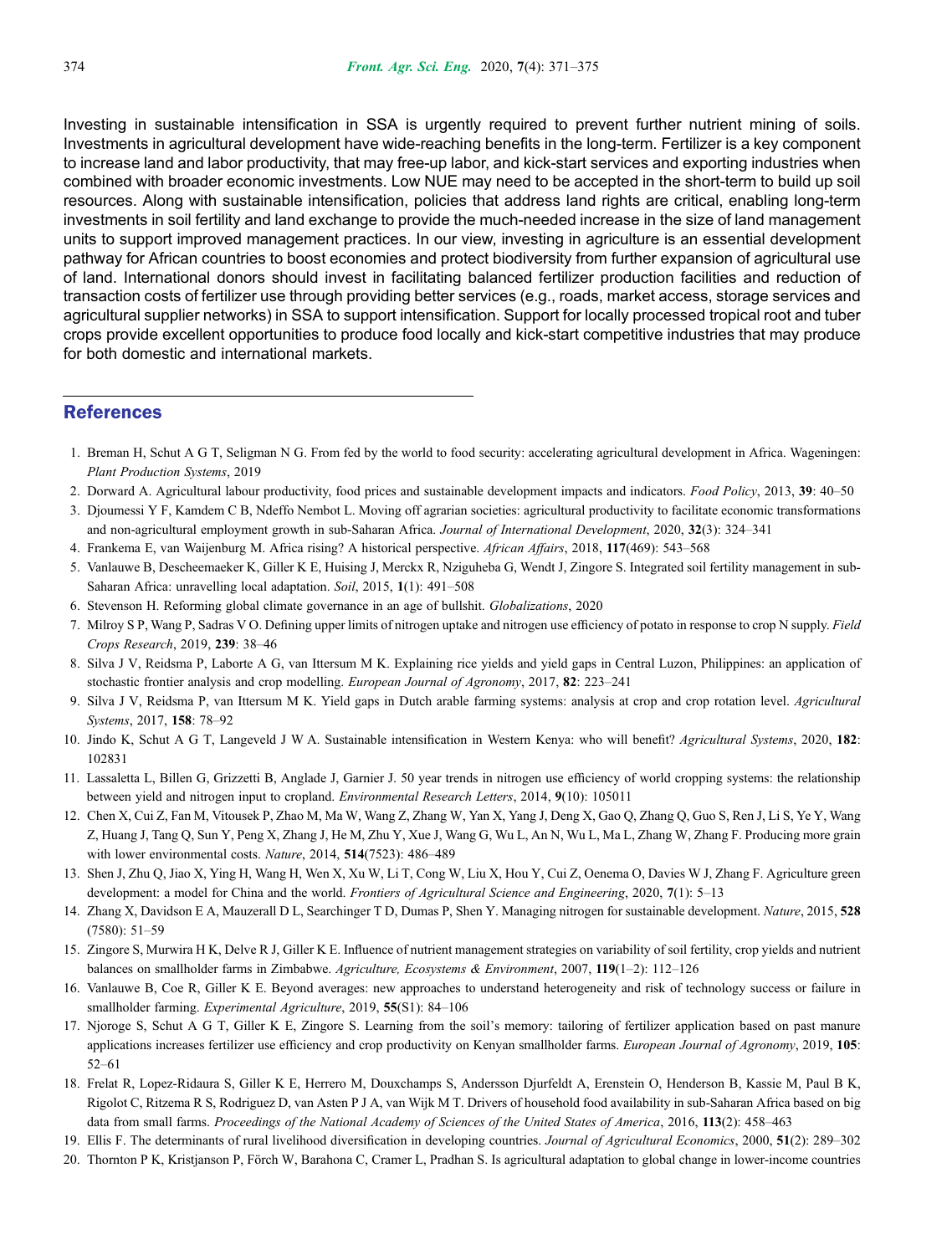<span id="page-3-0"></span>Investing in sustainable intensification in SSA is urgently required to prevent further nutrient mining of soils. Investments in agricultural development have wide-reaching benefits in the long-term. Fertilizer is a key component to increase land and labor productivity, that may free-up labor, and kick-start services and exporting industries when combined with broader economic investments. Low NUE may need to be accepted in the short-term to build up soil resources. Along with sustainable intensification, policies that address land rights are critical, enabling long-term investments in soil fertility and land exchange to provide the much-needed increase in the size of land management units to support improved management practices. In our view, investing in agriculture is an essential development pathway for African countries to boost economies and protect biodiversity from further expansion of agricultural use of land. International donors should invest in facilitating balanced fertilizer production facilities and reduction of transaction costs of fertilizer use through providing better services (e.g., roads, market access, storage services and agricultural supplier networks) in SSA to support intensification. Support for locally processed tropical root and tuber crops provide excellent opportunities to produce food locally and kick-start competitive industries that may produce for both domestic and international markets.

### References

- 1. Breman H, Schut A G T, Seligman N G. From fed by the world to food security: accelerating agricultural development in Africa. Wageningen: Plant Production Systems, 2019
- 2. Dorward A. Agricultural labour productivity, food prices and sustainable development impacts and indicators. Food Policy, 2013, 39: 40–50
- 3. Djoumessi Y F, Kamdem C B, Ndeffo Nembot L. Moving off agrarian societies: agricultural productivity to facilitate economic transformations and non-agricultural employment growth in sub-Saharan Africa. Journal of International Development, 2020, 32(3): 324–341
- 4. Frankema E, van Waijenburg M. Africa rising? A historical perspective. African Affairs, 2018, 117(469): 543–568
- 5. Vanlauwe B, Descheemaeker K, Giller K E, Huising J, Merckx R, Nziguheba G, Wendt J, Zingore S. Integrated soil fertility management in sub-Saharan Africa: unravelling local adaptation. Soil, 2015, 1(1): 491–508
- 6. Stevenson H. Reforming global climate governance in an age of bullshit. Globalizations, 2020
- 7. Milroy S P, Wang P, Sadras V O. Defining upper limits of nitrogen uptake and nitrogen use efficiency of potato in response to crop N supply. Field Crops Research, 2019, 239: 38–46
- 8. Silva J V, Reidsma P, Laborte A G, van Ittersum M K. Explaining rice yields and yield gaps in Central Luzon, Philippines: an application of stochastic frontier analysis and crop modelling. European Journal of Agronomy, 2017, 82: 223–241
- 9. Silva J V, Reidsma P, van Ittersum M K. Yield gaps in Dutch arable farming systems: analysis at crop and crop rotation level. Agricultural Systems, 2017, 158: 78–92
- 10. Jindo K, Schut A G T, Langeveld J W A. Sustainable intensification in Western Kenya: who will benefit? Agricultural Systems, 2020, 182: 102831
- 11. Lassaletta L, Billen G, Grizzetti B, Anglade J, Garnier J. 50 year trends in nitrogen use efficiency of world cropping systems: the relationship between yield and nitrogen input to cropland. Environmental Research Letters, 2014, 9(10): 105011
- 12. Chen X, Cui Z, Fan M, Vitousek P, Zhao M, Ma W, Wang Z, Zhang W, Yan X, Yang J, Deng X, Gao Q, Zhang Q, Guo S, Ren J, Li S, Ye Y, Wang Z, Huang J, Tang Q, Sun Y, Peng X, Zhang J, He M, Zhu Y, Xue J, Wang G, Wu L, An N, Wu L, Ma L, Zhang W, Zhang F. Producing more grain with lower environmental costs. Nature, 2014, 514(7523): 486–489
- 13. Shen J, Zhu Q, Jiao X, Ying H, Wang H, Wen X, Xu W, Li T, Cong W, Liu X, Hou Y, Cui Z, Oenema O, Davies W J, Zhang F. Agriculture green development: a model for China and the world. Frontiers of Agricultural Science and Engineering, 2020, 7(1): 5–13
- 14. Zhang X, Davidson E A, Mauzerall D L, Searchinger T D, Dumas P, Shen Y. Managing nitrogen for sustainable development. Nature, 2015, 528 (7580): 51–59
- 15. Zingore S, Murwira H K, Delve R J, Giller K E. Influence of nutrient management strategies on variability of soil fertility, crop yields and nutrient balances on smallholder farms in Zimbabwe. Agriculture, Ecosystems & Environment, 2007, 119(1–2): 112–126
- 16. Vanlauwe B, Coe R, Giller K E. Beyond averages: new approaches to understand heterogeneity and risk of technology success or failure in smallholder farming. Experimental Agriculture, 2019, 55(S1): 84–106
- 17. Njoroge S, Schut A G T, Giller K E, Zingore S. Learning from the soil's memory: tailoring of fertilizer application based on past manure applications increases fertilizer use efficiency and crop productivity on Kenyan smallholder farms. European Journal of Agronomy, 2019, 105: 52–61
- 18. Frelat R, Lopez-Ridaura S, Giller K E, Herrero M, Douxchamps S, Andersson Djurfeldt A, Erenstein O, Henderson B, Kassie M, Paul B K, Rigolot C, Ritzema R S, Rodriguez D, van Asten P J A, van Wijk M T. Drivers of household food availability in sub-Saharan Africa based on big data from small farms. Proceedings of the National Academy of Sciences of the United States of America, 2016, 113(2): 458-463
- 19. Ellis F. The determinants of rural livelihood diversification in developing countries. Journal of Agricultural Economics, 2000, 51(2): 289-302
- 20. Thornton P K, Kristjanson P, Förch W, Barahona C, Cramer L, Pradhan S. Is agricultural adaptation to global change in lower-income countries